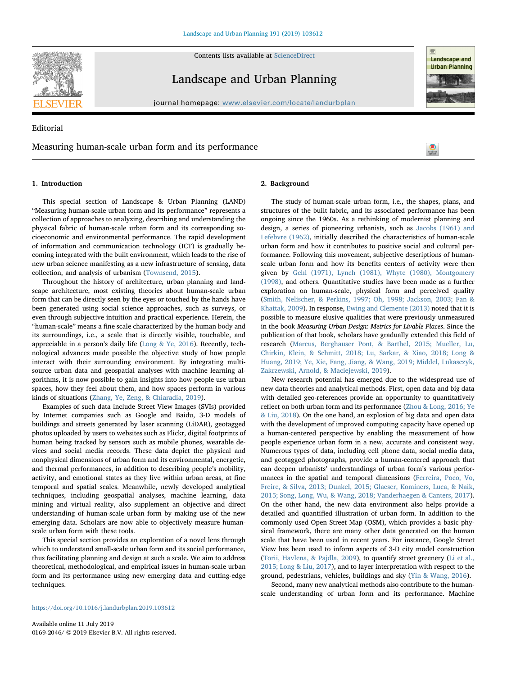Contents lists available at [ScienceDirect](http://www.sciencedirect.com/science/journal/01692046)



# Landscape and Urban Planning

journal homepage: [www.elsevier.com/locate/landurbplan](https://www.elsevier.com/locate/landurbplan)

# Landscape and **Urban Planning**

# Editorial

## Measuring human-scale urban form and its performance



### 1. Introduction

This special section of Landscape & Urban Planning (LAND) "Measuring human-scale urban form and its performance" represents a collection of approaches to analyzing, describing and understanding the physical fabric of human-scale urban form and its corresponding socioeconomic and environmental performance. The rapid development of information and communication technology (ICT) is gradually becoming integrated with the built environment, which leads to the rise of new urban science manifesting as a new infrastructure of sensing, data collection, and analysis of urbanism [\(Townsend, 2015](#page-2-0)).

Throughout the history of architecture, urban planning and landscape architecture, most existing theories about human-scale urban form that can be directly seen by the eyes or touched by the hands have been generated using social science approaches, such as surveys, or even through subjective intuition and practical experience. Herein, the "human-scale" means a fine scale characterized by the human body and its surroundings, i.e., a scale that is directly visible, touchable, and appreciable in a person's daily life [\(Long & Ye, 2016\)](#page-1-0). Recently, technological advances made possible the objective study of how people interact with their surrounding environment. By integrating multisource urban data and geospatial analyses with machine learning algorithms, it is now possible to gain insights into how people use urban spaces, how they feel about them, and how spaces perform in various kinds of situations [\(Zhang, Ye, Zeng, & Chiaradia, 2019](#page-2-1)).

Examples of such data include Street View Images (SVIs) provided by Internet companies such as Google and Baidu, 3-D models of buildings and streets generated by laser scanning (LiDAR), geotagged photos uploaded by users to websites such as Flickr, digital footprints of human being tracked by sensors such as mobile phones, wearable devices and social media records. These data depict the physical and nonphysical dimensions of urban form and its environmental, energetic, and thermal performances, in addition to describing people's mobility, activity, and emotional states as they live within urban areas, at fine temporal and spatial scales. Meanwhile, newly developed analytical techniques, including geospatial analyses, machine learning, data mining and virtual reality, also supplement an objective and direct understanding of human-scale urban form by making use of the new emerging data. Scholars are now able to objectively measure humanscale urban form with these tools.

This special section provides an exploration of a novel lens through which to understand small-scale urban form and its social performance, thus facilitating planning and design at such a scale. We aim to address theoretical, methodological, and empirical issues in human-scale urban form and its performance using new emerging data and cutting-edge techniques.

#### <https://doi.org/10.1016/j.landurbplan.2019.103612>

Available online 11 July 2019 0169-2046/ © 2019 Elsevier B.V. All rights reserved.

#### 2. Background

The study of human-scale urban form, i.e., the shapes, plans, and structures of the built fabric, and its associated performance has been ongoing since the 1960s. As a rethinking of modernist planning and design, a series of pioneering urbanists, such as [Jacobs \(1961\) and](#page-1-1) [Lefebvre \(1962\),](#page-1-1) initially described the characteristics of human-scale urban form and how it contributes to positive social and cultural performance. Following this movement, subjective descriptions of humanscale urban form and how its benefits centers of activity were then given by [Gehl \(1971\), Lynch \(1981\), Whyte \(1980\), Montgomery](#page-1-2) [\(1998\),](#page-1-2) and others. Quantitative studies have been made as a further exploration on human-scale, physical form and perceived quality ([Smith, Nelischer, & Perkins, 1997; Oh, 1998; Jackson, 2003; Fan &](#page-2-2) [Khattak, 2009](#page-2-2)). In response, [Ewing and Clemente \(2013\)](#page-1-3) noted that it is possible to measure elusive qualities that were previously unmeasured in the book Measuring Urban Design: Metrics for Livable Places. Since the publication of that book, scholars have gradually extended this field of research ([Marcus, Berghauser Pont, & Barthel, 2015; Mueller, Lu,](#page-1-4) [Chirkin, Klein, & Schmitt, 2018; Lu, Sarkar, & Xiao, 2018; Long &](#page-1-4) [Huang, 2019; Ye, Xie, Fang, Jiang, & Wang, 2019; Middel, Lukasczyk,](#page-1-4) [Zakrzewski, Arnold, & Maciejewski, 2019\)](#page-1-4).

New research potential has emerged due to the widespread use of new data theories and analytical methods. First, open data and big data with detailed geo-references provide an opportunity to quantitatively reflect on both urban form and its performance [\(Zhou & Long, 2016; Ye](#page-2-3) [& Liu, 2018](#page-2-3)). On the one hand, an explosion of big data and open data with the development of improved computing capacity have opened up a human-centered perspective by enabling the measurement of how people experience urban form in a new, accurate and consistent way. Numerous types of data, including cell phone data, social media data, and geotagged photographs, provide a human-centered approach that can deepen urbanists' understandings of urban form's various performances in the spatial and temporal dimensions ([Ferreira, Poco, Vo,](#page-1-5) [Freire, & Silva, 2013; Dunkel, 2015; Glaeser, Kominers, Luca, & Naik,](#page-1-5) [2015; Song, Long, Wu, & Wang, 2018; Vanderhaegen & Canters, 2017](#page-1-5)). On the other hand, the new data environment also helps provide a detailed and quantified illustration of urban form. In addition to the commonly used Open Street Map (OSM), which provides a basic physical framework, there are many other data generated on the human scale that have been used in recent years. For instance, Google Street View has been used to inform aspects of 3-D city model construction ([Torii, Havlena, & Pajdla, 2009\)](#page-2-4), to quantify street greenery ([Li et al.,](#page-1-6) [2015; Long & Liu, 2017\)](#page-1-6), and to layer interpretation with respect to the ground, pedestrians, vehicles, buildings and sky ([Yin & Wang, 2016\)](#page-2-5).

Second, many new analytical methods also contribute to the humanscale understanding of urban form and its performance. Machine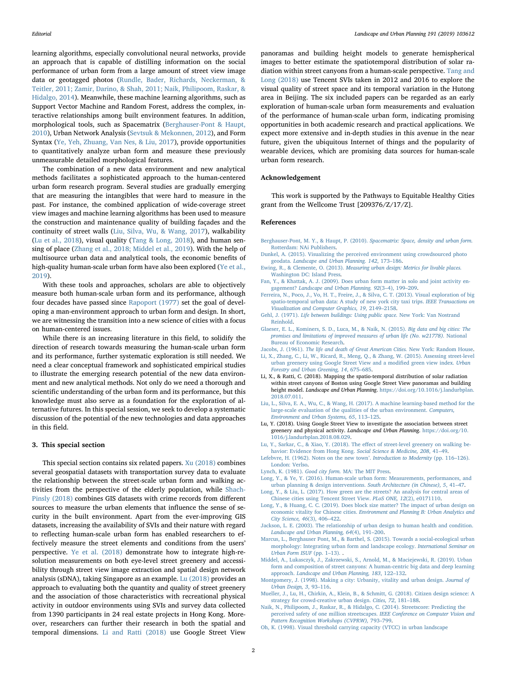learning algorithms, especially convolutional neural networks, provide an approach that is capable of distilling information on the social performance of urban form from a large amount of street view image data or geotagged photos [\(Rundle, Bader, Richards, Neckerman, &](#page-2-6) [Teitler, 2011; Zamir, Darino, & Shah, 2011; Naik, Philipoom, Raskar, &](#page-2-6) [Hidalgo, 2014\)](#page-2-6). Meanwhile, these machine learning algorithms, such as Support Vector Machine and Random Forest, address the complex, interactive relationships among built environment features. In addition, morphological tools, such as Spacematrix [\(Berghauser-Pont & Haupt,](#page-1-7) [2010\)](#page-1-7), Urban Network Analysis ([Sevtsuk & Mekonnen, 2012](#page-2-7)), and Form Syntax ([Ye, Yeh, Zhuang, Van Nes, & Liu, 2017\)](#page-2-8), provide opportunities to quantitatively analyze urban form and measure these previously unmeasurable detailed morphological features.

The combination of a new data environment and new analytical methods facilitates a sophisticated approach to the human-centered urban form research program. Several studies are gradually emerging that are measuring the intangibles that were hard to measure in the past. For instance, the combined application of wide-coverage street view images and machine learning algorithms has been used to measure the construction and maintenance quality of building façades and the continuity of street walls [\(Liu, Silva, Wu, & Wang, 2017\)](#page-1-8), walkability ([Lu et al., 2018\)](#page-1-9), visual quality ([Tang & Long, 2018\)](#page-2-9), and human sensing of place [\(Zhang et al., 2018; Middel et al., 2019](#page-2-10)). With the help of multisource urban data and analytical tools, the economic benefits of high-quality human-scale urban form have also been explored ([Ye et al.,](#page-2-11) [2019\)](#page-2-11).

With these tools and approaches, scholars are able to objectively measure both human-scale urban form and its performance, although four decades have passed since [Rapoport \(1977\)](#page-2-12) set the goal of developing a man-environment approach to urban form and design. In short, we are witnessing the transition into a new science of cities with a focus on human-centered issues.

While there is an increasing literature in this field, to solidify the direction of research towards measuring the human-scale urban form and its performance, further systematic exploration is still needed. We need a clear conceptual framework and sophisticated empirical studies to illustrate the emerging research potential of the new data environment and new analytical methods. Not only do we need a thorough and scientific understanding of the urban form and its performance, but this knowledge must also serve as a foundation for the exploration of alternative futures. In this special session, we seek to develop a systematic discussion of the potential of the new technologies and data approaches in this field.

#### 3. This special section

This special section contains six related papers. [Xu \(2018\)](#page-2-13) combines several geospatial datasets with transportation survey data to evaluate the relationship between the street-scale urban form and walking activities from the perspective of the elderly population, while [Shach-](#page-2-14)[Pinsly \(2018\)](#page-2-14) combines GIS datasets with crime records from different sources to measure the urban elements that influence the sense of security in the built environment. Apart from the ever-improving GIS datasets, increasing the availability of SVIs and their nature with regard to reflecting human-scale urban form has enabled researchers to effectively measure the street elements and conditions from the users' perspective. [Ye et al. \(2018\)](#page-2-15) demonstrate how to integrate high-resolution measurements on both eye-level street greenery and accessibility through street view image extraction and spatial design network analysis (sDNA), taking Singapore as an example. [Lu \(2018\)](#page-1-10) provides an approach to evaluating both the quantity and quality of street greenery and the association of those characteristics with recreational physical activity in outdoor environments using SVIs and survey data collected from 1390 participants in 24 real estate projects in Hong Kong. Moreover, researchers can further their research in both the spatial and temporal dimensions. [Li and Ratti \(2018\)](#page-1-11) use Google Street View

panoramas and building height models to generate hemispherical images to better estimate the spatiotemporal distribution of solar radiation within street canyons from a human-scale perspective. [Tang and](#page-2-9) [Long \(2018\)](#page-2-9) use Tencent SVIs taken in 2012 and 2016 to explore the visual quality of street space and its temporal variation in the Hutong area in Beijing. The six included papers can be regarded as an early exploration of human-scale urban form measurements and evaluation of the performance of human-scale urban form, indicating promising opportunities in both academic research and practical applications. We expect more extensive and in-depth studies in this avenue in the near future, given the ubiquitous Internet of things and the popularity of wearable devices, which are promising data sources for human-scale urban form research.

#### Acknowledgement

This work is supported by the Pathways to Equitable Healthy Cities grant from the Wellcome Trust [209376/Z/17/Z].

#### References

- <span id="page-1-7"></span>[Berghauser-Pont, M. Y., & Haupt, P. \(2010\).](http://refhub.elsevier.com/S0169-2046(19)30898-9/h0005) Spacematrix: Space, density and urban form. [Rotterdam: NAi Publishers](http://refhub.elsevier.com/S0169-2046(19)30898-9/h0005).
- [Dunkel, A. \(2015\). Visualizing the perceived environment using crowdsourced photo](http://refhub.elsevier.com/S0169-2046(19)30898-9/h0010) geodata. [Landscape and Urban Planning. 142](http://refhub.elsevier.com/S0169-2046(19)30898-9/h0010), 173–186.
- <span id="page-1-3"></span>Ewing, R., & Clemente, O. (2013). [Measuring urban design: Metrics for livable places.](http://refhub.elsevier.com/S0169-2046(19)30898-9/h0015) [Washington DC: Island Press](http://refhub.elsevier.com/S0169-2046(19)30898-9/h0015).
- [Fan, Y., & Khattak, A. J. \(2009\). Does urban form matter in solo and joint activity en](http://refhub.elsevier.com/S0169-2046(19)30898-9/h0020)gagement? [Landscape and Urban Planning. 92](http://refhub.elsevier.com/S0169-2046(19)30898-9/h0020)(3–4), 199–209.
- <span id="page-1-5"></span>[Ferreira, N., Poco, J., Vo, H. T., Freire, J., & Silva, C. T. \(2013\). Visual exploration of big](http://refhub.elsevier.com/S0169-2046(19)30898-9/h0025) [spatio-temporal urban data: A study of new york city taxi trips.](http://refhub.elsevier.com/S0169-2046(19)30898-9/h0025) IEEE Transactions on [Visualization and Computer Graphics, 19](http://refhub.elsevier.com/S0169-2046(19)30898-9/h0025), 2149–2158.
- <span id="page-1-2"></span>Gehl, J. (1971). [Life between buildings: Using public space.](http://refhub.elsevier.com/S0169-2046(19)30898-9/h0030) New York: Van Nostrand [Reinhold](http://refhub.elsevier.com/S0169-2046(19)30898-9/h0030).
- [Glaeser, E. L., Kominers, S. D., Luca, M., & Naik, N. \(2015\).](http://refhub.elsevier.com/S0169-2046(19)30898-9/h0035) Big data and big cities: The [promises and limitations of improved measures of urban life \(No. w21778\).](http://refhub.elsevier.com/S0169-2046(19)30898-9/h0035) National [Bureau of Economic Research](http://refhub.elsevier.com/S0169-2046(19)30898-9/h0035).
- <span id="page-1-1"></span>Jacobs, J. (1961). [The life and death of Great American Cities.](http://refhub.elsevier.com/S0169-2046(19)30898-9/h0045) New York: Random House.
- <span id="page-1-6"></span>[Li, X., Zhang, C., Li, W., Ricard, R., Meng, Q., & Zhang, W. \(2015\). Assessing street-level](http://refhub.elsevier.com/S0169-2046(19)30898-9/h0050) [urban greenery using Google Street View and a modi](http://refhub.elsevier.com/S0169-2046(19)30898-9/h0050)fied green view index. Urban [Forestry and Urban Greening, 14](http://refhub.elsevier.com/S0169-2046(19)30898-9/h0050), 675–685.
- <span id="page-1-11"></span>Li, X., & Ratti, C. (2018). Mapping the spatio-temporal distribution of solar radiation within street canyons of Boston using Google Street View panoramas and building height model. Landscape and Urban Planning. [https://doi.org/10.1016/j.landurbplan.](https://doi.org/10.1016/j.landurbplan.2018.07.011) [2018.07.011](https://doi.org/10.1016/j.landurbplan.2018.07.011).
- <span id="page-1-8"></span>[Liu, L., Silva, E. A., Wu, C., & Wang, H. \(2017\). A machine learning-based method for the](http://refhub.elsevier.com/S0169-2046(19)30898-9/h0060) [large-scale evaluation of the qualities of the urban environment.](http://refhub.elsevier.com/S0169-2046(19)30898-9/h0060) Computers, [Environment and Urban Systems, 65](http://refhub.elsevier.com/S0169-2046(19)30898-9/h0060), 113–125.
- <span id="page-1-10"></span>Lu, Y. (2018). Using Google Street View to investigate the association between street greenery and physical activity. Landscape and Urban Planning. [https://doi.org/10.](https://doi.org/10.1016/j.landurbplan.2018.08.029) [1016/j.landurbplan.2018.08.029.](https://doi.org/10.1016/j.landurbplan.2018.08.029)
- <span id="page-1-9"></span>[Lu, Y., Sarkar, C., & Xiao, Y. \(2018\). The e](http://refhub.elsevier.com/S0169-2046(19)30898-9/h0070)ffect of street-level greenery on walking be[havior: Evidence from Hong Kong.](http://refhub.elsevier.com/S0169-2046(19)30898-9/h0070) Social Science & Medicine, 208, 41–49.
- [Lefebvre, H. \(1962\). Notes on the new town](http://refhub.elsevier.com/S0169-2046(19)30898-9/h0075)'. Introduction to Modernity (pp. 116–126). [London: Verlso](http://refhub.elsevier.com/S0169-2046(19)30898-9/h0075).
- Lynch, K. (1981). Good city form. [MA: The MIT Press.](http://refhub.elsevier.com/S0169-2046(19)30898-9/h0080)
- <span id="page-1-0"></span>Long, [Y., & Ye, Y. \(2016\). Human-scale urban form: Measurements, performances, and](http://refhub.elsevier.com/S0169-2046(19)30898-9/h0085)
- [urban planning & design interventions.](http://refhub.elsevier.com/S0169-2046(19)30898-9/h0085) South Architecture (in Chinese), 5, 41–47. [Long, Y., & Liu, L. \(2017\). How green are the streets? An analysis for central areas of](http://refhub.elsevier.com/S0169-2046(19)30898-9/h0090)
- [Chinese cities using Tencent Street View.](http://refhub.elsevier.com/S0169-2046(19)30898-9/h0090) PLoS ONE, 12(2), e0171110. [Long, Y., & Huang, C. C. \(2019\). Does block size matter? The impact of urban design on](http://refhub.elsevier.com/S0169-2046(19)30898-9/h0095)
- economic vitality for Chinese cities. [Environment and Planning B: Urban Analytics and](http://refhub.elsevier.com/S0169-2046(19)30898-9/h0095) [City Science, 46](http://refhub.elsevier.com/S0169-2046(19)30898-9/h0095)(3), 406–422.
- [Jackson, L. E. \(2003\). The relationship of urban design to human health and condition.](http://refhub.elsevier.com/S0169-2046(19)30898-9/h0100) [Landscape and Urban Planning, 64](http://refhub.elsevier.com/S0169-2046(19)30898-9/h0100)(4), 191–200.
- <span id="page-1-4"></span>[Marcus, L., Berghauser Pont, M., & Barthel, S. \(2015\). Towards a social-ecological urban](http://refhub.elsevier.com/S0169-2046(19)30898-9/h0105) [morphology: Integrating urban form and landscape ecology.](http://refhub.elsevier.com/S0169-2046(19)30898-9/h0105) International Seminar on [Urban Form ISUF](http://refhub.elsevier.com/S0169-2046(19)30898-9/h0105) (pp. 1–13). .
- [Middel, A., Lukasczyk, J., Zakrzewski, S., Arnold, M., & Maciejewski, R. \(2019\). Urban](http://refhub.elsevier.com/S0169-2046(19)30898-9/h0110) [form and composition of street canyons: A human-centric big data and deep learning](http://refhub.elsevier.com/S0169-2046(19)30898-9/h0110) approach. [Landscape and Urban Planning, 183](http://refhub.elsevier.com/S0169-2046(19)30898-9/h0110), 122–132.
- [Montgomery, J. \(1998\). Making a city: Urbanity, vitality and urban design.](http://refhub.elsevier.com/S0169-2046(19)30898-9/h0115) Journal of [Urban Design, 3](http://refhub.elsevier.com/S0169-2046(19)30898-9/h0115), 93–116.
- [Mueller, J., Lu, H., Chirkin, A., Klein, B., & Schmitt, G. \(2018\). Citizen design science: A](http://refhub.elsevier.com/S0169-2046(19)30898-9/h0120) [strategy for crowd-creative urban design.](http://refhub.elsevier.com/S0169-2046(19)30898-9/h0120) Cities, 72, 181–188.
- [Naik, N., Philipoom, J., Raskar, R., & Hidalgo, C. \(2014\). Streetscore: Predicting the](http://refhub.elsevier.com/S0169-2046(19)30898-9/h0125) [perceived safety of one million streetscapes.](http://refhub.elsevier.com/S0169-2046(19)30898-9/h0125) IEEE Conference on Computer Vision and [Pattern Recognition Workshops \(CVPRW\),](http://refhub.elsevier.com/S0169-2046(19)30898-9/h0125) 793–799.
- [Oh, K. \(1998\). Visual threshold carrying capacity \(VTCC\) in urban landscape](http://refhub.elsevier.com/S0169-2046(19)30898-9/h0130)